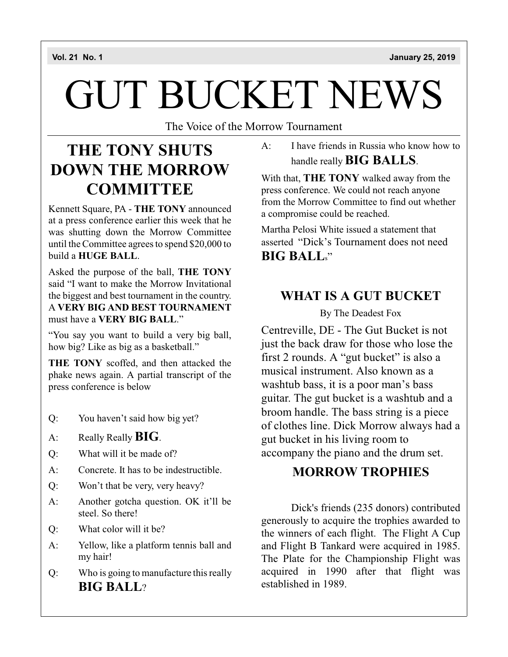# GUT BUCKET NEWS

The Voice of the Morrow Tournament

### **THE TONY SHUTS DOWN THE MORROW COMMITTEE**

Kennett Square, PA - **THE TONY** announced at a press conference earlier this week that he was shutting down the Morrow Committee until the Committee agrees to spend \$20,000 to build a **HUGE BALL**.

Asked the purpose of the ball, **THE TONY** said "I want to make the Morrow Invitational the biggest and best tournament in the country. A **VERY BIG AND BEST TOURNAMENT** must have a **VERY BIG BALL**."

"You say you want to build a very big ball, how big? Like as big as a basketball."

**THE TONY** scoffed, and then attacked the phake news again. A partial transcript of the press conference is below

- Q: You haven't said how big yet?
- A: Really Really**BIG**.
- Q: What will it be made of?
- A: Concrete. It has to be indestructible.
- Q: Won't that be very, very heavy?
- A: Another gotcha question. OK it'll be steel. So there!
- Q: What color will it be?
- A: Yellow, like a platform tennis ball and my hair!
- Q: Who is going to manufacture this really **BIG BALL**?

A: I have friends in Russia who know how to handle really**BIG BALLS**.

With that, **THE TONY** walked away from the press conference. We could not reach anyone from the Morrow Committee to find out whether a compromise could be reached.

Martha Pelosi White issued a statement that asserted "Dick's Tournament does not need **BIG BALL**s"

### **WHAT IS A GUT BUCKET**

By The Deadest Fox

Centreville, DE - The Gut Bucket is not just the back draw for those who lose the first 2 rounds. A "gut bucket" is also a musical instrument. Also known as a washtub bass, it is a poor man's bass guitar. The gut bucket is a washtub and a broom handle. The bass string is a piece of clothes line. Dick Morrow always had a gut bucket in his living room to accompany the piano and the drum set.

### **MORROW TROPHIES**

Dick's friends (235 donors) contributed generously to acquire the trophies awarded to the winners of each flight. The Flight A Cup and Flight B Tankard were acquired in 1985. The Plate for the Championship Flight was acquired in 1990 after that flight was established in 1989.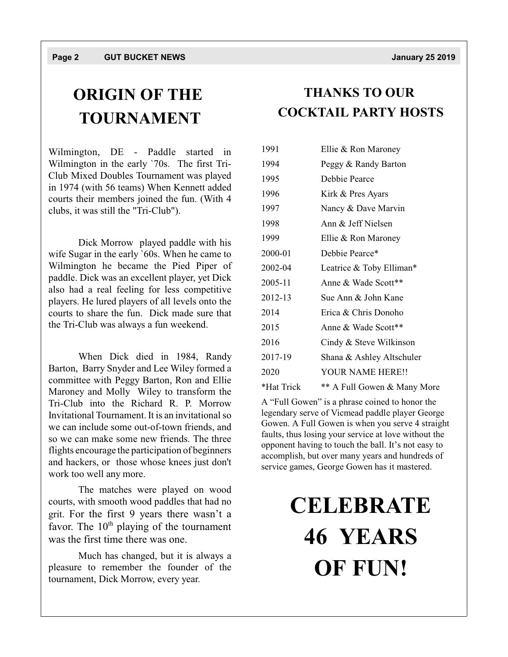## **ORIGIN OF THE TOURNAMENT**

Wilmington, DE - Paddle started in Wilmington in the early `70s. The first Tri-Club Mixed Doubles Tournament was played in 1974 (with 56 teams) When Kennett added courts their members joined the fun. (With 4 clubs, it was still the "Tri-Club").

Dick Morrow played paddle with his wife Sugar in the early `60s. When he came to Wilmington he became the Pied Piper of paddle. Dick was an excellent player, yet Dick also had a real feeling for less competitive players. He lured players of all levels onto the courts to share the fun. Dick made sure that the Tri-Club was always a fun weekend.

When Dick died in 1984, Randy Barton, Barry Snyder and Lee Wiley formed a committee with Peggy Barton, Ron and Ellie Maroney and Molly Wiley to transform the Tri-Club into the Richard R. P. Morrow Invitational Tournament. It is an invitational so we can include some out-of-town friends, and so we can make some new friends. The three flights encourage the participation of beginners and hackers, or those whose knees just don't work too well any more.

The matches were played on wood courts, with smooth wood paddles that had no grit. For the first 9 years there wasn't a favor. The 10<sup>th</sup> playing of the tournament was the first time there was one.

Much has changed, but it is always a pleasure to remember the founder of the tournament, Dick Morrow, every year.

### **THANKS TO OUR COCKTAIL PARTY HOSTS**

| 1991       | Ellie & Ron Maroney         |
|------------|-----------------------------|
| 1994       | Peggy & Randy Barton        |
| 1995       | Debbie Pearce               |
| 1996       | Kirk & Pres Ayars           |
| 1997       | Nancy & Dave Marvin         |
| 1998       | Ann & Jeff Nielsen          |
| 1999       | Ellie & Ron Maroney         |
| 2000-01    | Debbie Pearce*              |
| 2002-04    | Leatrice & Toby Elliman*    |
| 2005-11    | Anne & Wade Scott**         |
| 2012-13    | Sue Ann & John Kane         |
| 2014       | Erica & Chris Donoho        |
| 2015       | Anne & Wade Scott**         |
| 2016       | Cindy & Steve Wilkinson     |
| 2017-19    | Shana & Ashley Altschuler   |
| 2020       | YOUR NAME HERE!!            |
| *Hat Trick | ** A Full Gowen & Many More |

A "Full Gowen" is a phrase coined to honor the legendary serve of Vicmead paddle player George Gowen. A Full Gowen is when you serve 4 straight faults, thus losing your service at love without the opponent having to touch the ball. It's not easy to accomplish, but over many years and hundreds of service games, George Gowen has it mastered.

## **CELEBRATE 46 YEARS OF FUN!**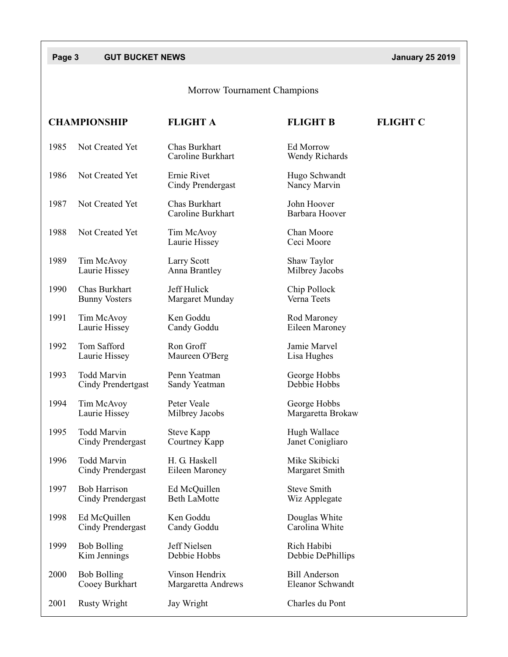### **Page 3** GUT BUCKET NEWS **CONSUMPLY** *Decision CONSUMPLY 25 2019*

### Morrow Tournament Champions

|      | <b>CHAMPIONSHIP</b>                      | <b>FLIGHT A</b>                      | <b>FLIGHT B</b>                          | <b>FLIGHT C</b> |
|------|------------------------------------------|--------------------------------------|------------------------------------------|-----------------|
| 1985 | Not Created Yet                          | Chas Burkhart<br>Caroline Burkhart   | Ed Morrow<br>Wendy Richards              |                 |
| 1986 | Not Created Yet                          | Ernie Rivet<br>Cindy Prendergast     | Hugo Schwandt<br>Nancy Marvin            |                 |
| 1987 | Not Created Yet                          | Chas Burkhart<br>Caroline Burkhart   | John Hoover<br>Barbara Hoover            |                 |
| 1988 | Not Created Yet                          | Tim McAvoy<br>Laurie Hissey          | Chan Moore<br>Ceci Moore                 |                 |
| 1989 | Tim McAvoy<br>Laurie Hissey              | Larry Scott<br>Anna Brantley         | Shaw Taylor<br>Milbrey Jacobs            |                 |
| 1990 | Chas Burkhart<br><b>Bunny Vosters</b>    | Jeff Hulick<br>Margaret Munday       | Chip Pollock<br>Verna Teets              |                 |
| 1991 | Tim McAvoy<br>Laurie Hissey              | Ken Goddu<br>Candy Goddu             | Rod Maroney<br>Eileen Maroney            |                 |
| 1992 | Tom Safford<br>Laurie Hissey             | Ron Groff<br>Maureen O'Berg          | Jamie Marvel<br>Lisa Hughes              |                 |
| 1993 | <b>Todd Marvin</b><br>Cindy Prendertgast | Penn Yeatman<br>Sandy Yeatman        | George Hobbs<br>Debbie Hobbs             |                 |
| 1994 | Tim McAvoy<br>Laurie Hissey              | Peter Veale<br>Milbrey Jacobs        | George Hobbs<br>Margaretta Brokaw        |                 |
| 1995 | <b>Todd Marvin</b><br>Cindy Prendergast  | <b>Steve Kapp</b><br>Courtney Kapp   | Hugh Wallace<br>Janet Conigliaro         |                 |
| 1996 | <b>Todd Marvin</b><br>Cindy Prendergast  | H. G. Haskell<br>Eileen Maroney      | Mike Skibicki<br>Margaret Smith          |                 |
| 1997 | <b>Bob Harrison</b><br>Cindy Prendergast | Ed McQuillen<br><b>Beth LaMotte</b>  | <b>Steve Smith</b><br>Wiz Applegate      |                 |
| 1998 | Ed McQuillen<br>Cindy Prendergast        | Ken Goddu<br>Candy Goddu             | Douglas White<br>Carolina White          |                 |
| 1999 | <b>Bob Bolling</b><br>Kim Jennings       | Jeff Nielsen<br>Debbie Hobbs         | Rich Habibi<br>Debbie DePhillips         |                 |
| 2000 | <b>Bob Bolling</b><br>Cooey Burkhart     | Vinson Hendrix<br>Margaretta Andrews | <b>Bill Anderson</b><br>Eleanor Schwandt |                 |
| 2001 | <b>Rusty Wright</b>                      | Jay Wright                           | Charles du Pont                          |                 |